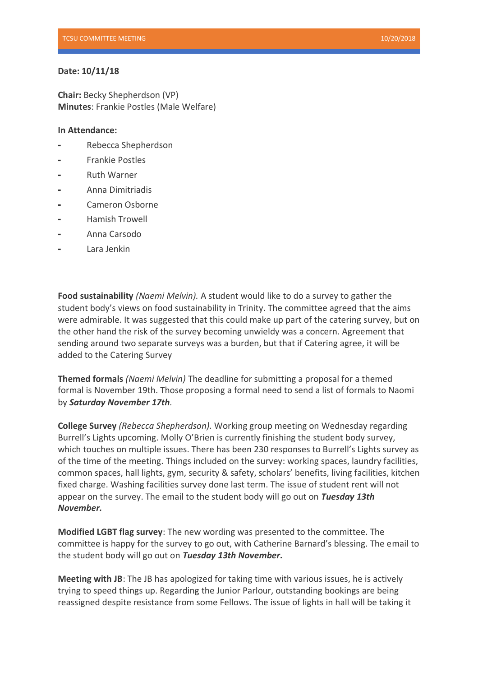## **Date: 10/11/18**

**Chair:** Becky Shepherdson (VP) **Minutes**: Frankie Postles (Male Welfare)

## **In Attendance:**

- ⁃ Rebecca Shepherdson
- ⁃ Frankie Postles
- ⁃ Ruth Warner
- ⁃ Anna Dimitriadis
- ⁃ Cameron Osborne
- Hamish Trowell
- ⁃ Anna Carsodo
- ⁃ Lara Jenkin

**Food sustainability** *(Naemi Melvin).* A student would like to do a survey to gather the student body's views on food sustainability in Trinity. The committee agreed that the aims were admirable. It was suggested that this could make up part of the catering survey, but on the other hand the risk of the survey becoming unwieldy was a concern. Agreement that sending around two separate surveys was a burden, but that if Catering agree, it will be added to the Catering Survey

**Themed formals** *(Naemi Melvin)* The deadline for submitting a proposal for a themed formal is November 19th. Those proposing a formal need to send a list of formals to Naomi by *Saturday November 17th.*

**College Survey** *(Rebecca Shepherdson).* Working group meeting on Wednesday regarding Burrell's Lights upcoming. Molly O'Brien is currently finishing the student body survey, which touches on multiple issues. There has been 230 responses to Burrell's Lights survey as of the time of the meeting. Things included on the survey: working spaces, laundry facilities, common spaces, hall lights, gym, security & safety, scholars' benefits, living facilities, kitchen fixed charge. Washing facilities survey done last term. The issue of student rent will not appear on the survey. The email to the student body will go out on *Tuesday 13th November.*

**Modified LGBT flag survey**: The new wording was presented to the committee. The committee is happy for the survey to go out, with Catherine Barnard's blessing. The email to the student body will go out on *Tuesday 13th November.*

**Meeting with JB**: The JB has apologized for taking time with various issues, he is actively trying to speed things up. Regarding the Junior Parlour, outstanding bookings are being reassigned despite resistance from some Fellows. The issue of lights in hall will be taking it